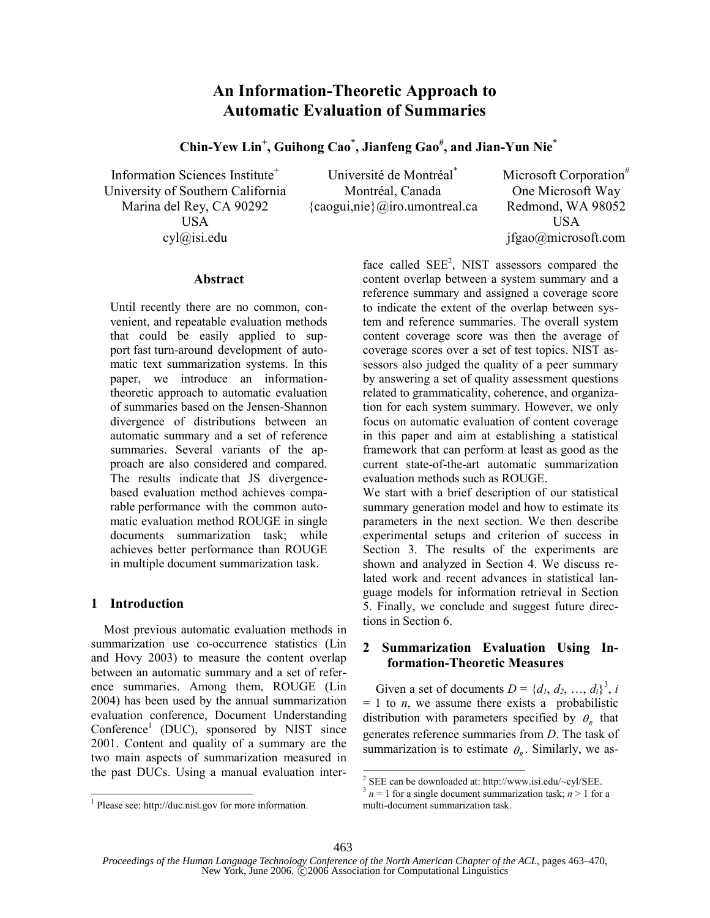# An Information-Theoretic Approach to **Automatic Evaluation of Summaries**

Chin-Yew Lin<sup>+</sup>, Guihong Cao<sup>\*</sup>, Jianfeng Gao<sup>#</sup>, and Jian-Yun Nie<sup>\*</sup>

Information Sciences Institute<sup>+</sup> University of Southern California Marina del Rey, CA 90292 **USA**  $cvl@isi.edu$ 

Université de Montréal<sup>\*</sup> Montréal, Canada  $\{caogui, nie\}$  *(a)*iro.umontreal.ca Microsoft Corporation<sup>#</sup> One Microsoft Way Redmond, WA 98052 **USA** ifgao@microsoft.com

### Abstract

Until recently there are no common, convenient, and repeatable evaluation methods that could be easily applied to support fast turn-around development of automatic text summarization systems. In this paper, we introduce an informationtheoretic approach to automatic evaluation of summaries based on the Jensen-Shannon divergence of distributions between an automatic summary and a set of reference summaries. Several variants of the approach are also considered and compared. The results indicate that JS divergencebased evaluation method achieves comparable performance with the common automatic evaluation method ROUGE in single documents summarization task; while achieves better performance than ROUGE in multiple document summarization task.

### 1 Introduction

Most previous automatic evaluation methods in summarization use co-occurrence statistics (Lin and Hovy 2003) to measure the content overlap between an automatic summary and a set of reference summaries. Among them, ROUGE (Lin 2004) has been used by the annual summarization evaluation conference, Document Understanding Conference<sup>1</sup> (DUC), sponsored by NIST since 2001. Content and quality of a summary are the two main aspects of summarization measured in the past DUCs. Using a manual evaluation interface called  $SEE<sup>2</sup>$ . NIST assessors compared the content overlap between a system summary and a reference summary and assigned a coverage score to indicate the extent of the overlap between system and reference summaries. The overall system content coverage score was then the average of coverage scores over a set of test topics. NIST assessors also judged the quality of a peer summary by answering a set of quality assessment questions related to grammaticality, coherence, and organization for each system summary. However, we only focus on automatic evaluation of content coverage in this paper and aim at establishing a statistical framework that can perform at least as good as the current state-of-the-art automatic summarization evaluation methods such as ROUGE.

We start with a brief description of our statistical summary generation model and how to estimate its parameters in the next section. We then describe experimental setups and criterion of success in Section 3. The results of the experiments are shown and analyzed in Section 4. We discuss related work and recent advances in statistical language models for information retrieval in Section 5. Finally, we conclude and suggest future directions in Section 6.

### 2 Summarization Evaluation Using Information-Theoretic Measures

Given a set of documents  $D = \{d_1, d_2, ..., d_i\}^3$ , i  $= 1$  to *n*, we assume there exists a probabilistic distribution with parameters specified by  $\theta_{n}$  that generates reference summaries from  $D$ . The task of summarization is to estimate  $\theta_{R}$ . Similarly, we as-

 $1$  Please see: http://duc.nist.gov for more information.

 $2$  SEE can be downloaded at: http://www.isi.edu/~cyl/SEE.

<sup>&</sup>lt;sup>3</sup>  $n = 1$  for a single document summarization task;  $n > 1$  for a multi-document summarization task.

Proceedings of the Human Language Technology Conference of the North American Chapter of the ACL, pages 463-470, New York, June 2006. C2006 Association for Computational Linguistics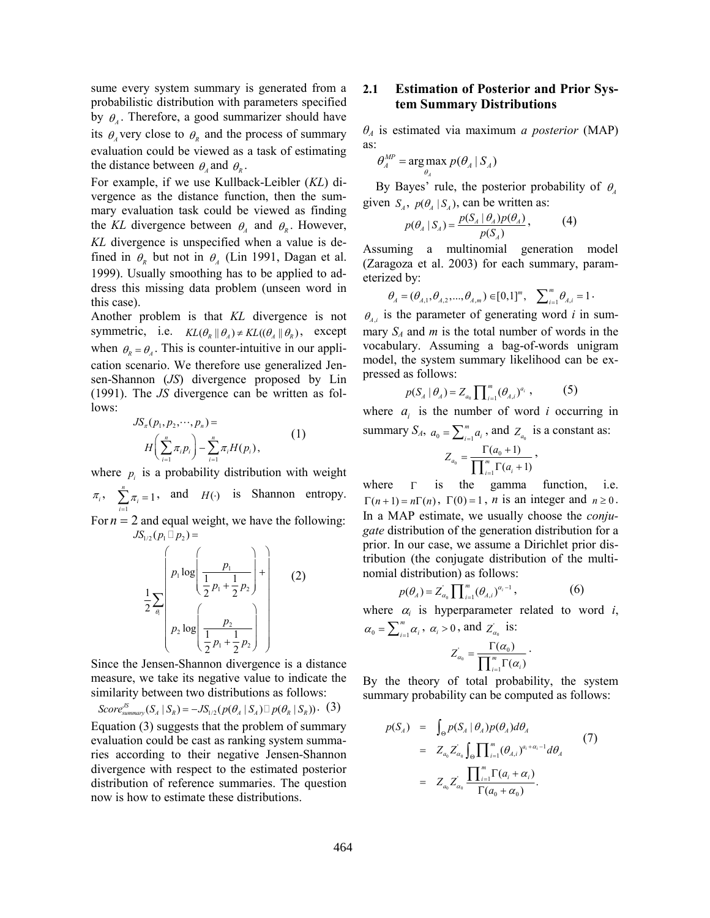sume every system summary is generated from a probabilistic distribution with parameters specified by  $\theta_{\mu}$ . Therefore, a good summarizer should have its  $\theta_{A}$  very close to  $\theta_{R}$  and the process of summary evaluation could be viewed as a task of estimating the distance between  $\theta_{A}$  and  $\theta_{R}$ .

For example, if we use Kullback-Leibler (KL) divergence as the distance function, then the summary evaluation task could be viewed as finding the KL divergence between  $\theta_A$  and  $\theta_R$ . However, KL divergence is unspecified when a value is defined in  $\theta_{n}$  but not in  $\theta_{n}$  (Lin 1991, Dagan et al. 1999). Usually smoothing has to be applied to address this missing data problem (unseen word in this case).

Another problem is that KL divergence is not symmetric, i.e.  $KL(\theta_R || \theta_A) \neq KL((\theta_A || \theta_R))$ , except when  $\theta_{R} = \theta_{A}$ . This is counter-intuitive in our application scenario. We therefore use generalized Jensen-Shannon (JS) divergence proposed by Lin  $(1991)$ . The JS divergence can be written as follows:

$$
JS_{\pi}(p_1, p_2, \cdots, p_n) =
$$
  

$$
H\left(\sum_{i=1}^n \pi_i p_i\right) - \sum_{i=1}^n \pi_i H(p_i),
$$
 (1)

where  $p_i$  is a probability distribution with weight

 $\pi_i$ ,  $\sum_{i=1}^{n} \pi_i = 1$ , and  $H(\cdot)$  is Shannon entropy. For  $n = 2$  and equal weight, we have the following:

 $JS_{1/2}(p_1 \quad p_2) =$ 

$$
\frac{1}{2} \sum_{\theta_1} \left( p_1 \log \left( \frac{p_1}{\frac{1}{2} p_1 + \frac{1}{2} p_2} \right) + \left( \frac{1}{2} p_1 + \frac{1}{2} p_2 \right) \right)
$$
 (2)

Since the Jensen-Shannon divergence is a distance measure, we take its negative value to indicate the similarity between two distributions as follows:

Score<sup>JS</sup><sub>summary</sub> $(S_A | S_R) = -JS_{1/2}(p(\theta_A | S_A) p(\theta_R | S_R))$ . (3) Equation (3) suggests that the problem of summary evaluation could be cast as ranking system summaries according to their negative Jensen-Shannon divergence with respect to the estimated posterior distribution of reference summaries. The question now is how to estimate these distributions.

### $2.1$ **Estimation of Posterior and Prior Sys**tem Summary Distributions

 $\theta_A$  is estimated via maximum *a posterior* (MAP) as:

$$
\theta^{MP}_A = \arg\max_{\theta_A} p(\theta_A \mid S_A)
$$

By Bayes' rule, the posterior probability of  $\theta$ . given  $S_A$ ,  $p(\theta_A | S_A)$ , can be written as:

$$
p(\theta_A \mid S_A) = \frac{p(S_A \mid \theta_A) p(\theta_A)}{p(S_A)},
$$
 (4)

Assuming a multinomial generation model (Zaragoza et al. 2003) for each summary, parameterized by:

$$
\theta_{A} = (\theta_{A,1}, \theta_{A,2}, ..., \theta_{A,m}) \in [0,1]^m, \quad \sum_{i=1}^m \theta_{A,i} = 1.
$$

 $\theta_{i,j}$  is the parameter of generating word i in summary  $S_A$  and m is the total number of words in the vocabulary. Assuming a bag-of-words unigram model, the system summary likelihood can be expressed as follows:

$$
p(S_A | \theta_A) = Z_{a_0} \prod_{i=1}^m (\theta_{A,i})^{a_i}, \qquad (5)
$$

where  $a_i$  is the number of word i occurring in summary  $S_A$ ,  $a_0 = \sum_{i=1}^m a_i$ , and  $Z_{a_0}$  is a constant as:

$$
Z_{a_0} = \frac{\Gamma(a_0 + 1)}{\prod_{i=1}^{m} \Gamma(a_i + 1)},
$$

where  $\Gamma$ is the gamma function, *i.e.*  $\Gamma(n+1) = n\Gamma(n)$ ,  $\Gamma(0) = 1$ , *n* is an integer and  $n \ge 0$ . In a MAP estimate, we usually choose the *conjugate* distribution of the generation distribution for a prior. In our case, we assume a Dirichlet prior distribution (the conjugate distribution of the multinomial distribution) as follows:

$$
p(\theta_A) = Z_{\alpha_0} \prod_{i=1}^m (\theta_{A,i})^{\alpha_i - 1}, \qquad (6)
$$

where  $\alpha_i$  is hyperparameter related to word i,  $\alpha_0 = \sum_{i=1}^m \alpha_i$ ,  $\alpha_i > 0$ , and  $Z'_{\alpha_0}$  is:

$$
Z_{\alpha_0} = \frac{\Gamma(\alpha_0)}{\prod_{i=1}^m \Gamma(\alpha_i)}.
$$

By the theory of total probability, the system summary probability can be computed as follows:

$$
p(S_A) = \int_{\Theta} p(S_A | \theta_A) p(\theta_A) d\theta_A
$$
  
=  $Z_{a_0} Z_{a_0} \int_{\Theta} \prod_{i=1}^m (\theta_{A,i})^{a_i + \alpha_i - 1} d\theta_A$  (7)  
=  $Z_{a_0} Z_{a_0} \frac{\prod_{i=1}^m \Gamma(a_i + \alpha_i)}{\Gamma(a_0 + \alpha_0)}.$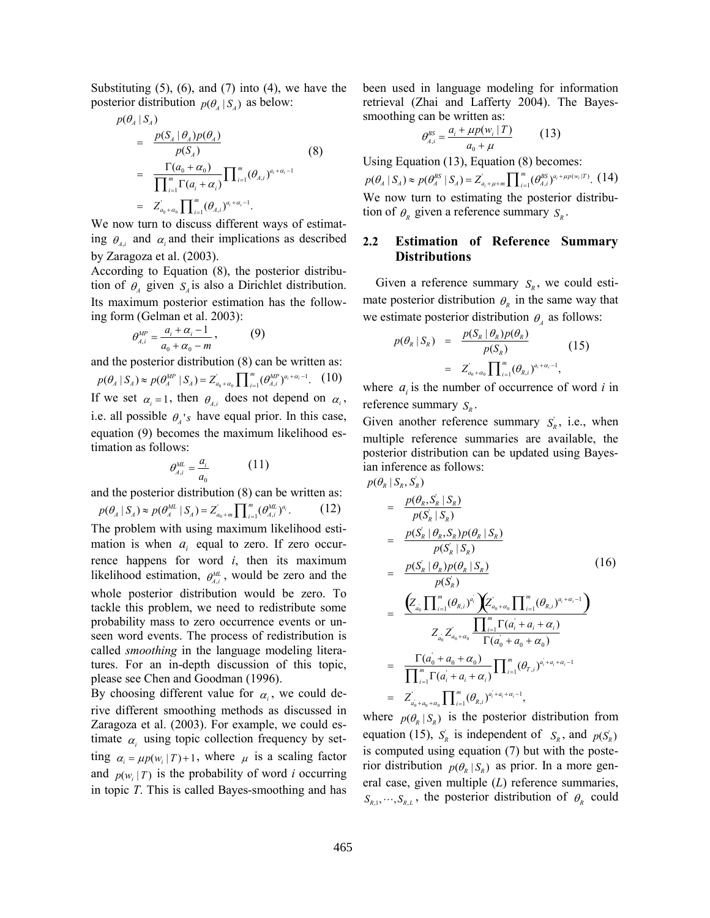Substituting  $(5)$ ,  $(6)$ , and  $(7)$  into  $(4)$ , we have the posterior distribution  $p(\theta_4 | S_4)$  as below:

$$
p(\theta_A | S_A) = \frac{p(S_A | \theta_A) p(\theta_A)}{p(S_A)}
$$
  
= 
$$
\frac{\Gamma(a_0 + \alpha_0)}{\prod_{i=1}^m \Gamma(a_i + \alpha_i)} \prod_{i=1}^m (\theta_{A,i})^{a_i + \alpha_i - 1}
$$
  
= 
$$
Z_{a_0 + \alpha_0} \prod_{i=1}^m (\theta_{A,i})^{a_i + \alpha_i - 1}.
$$
 (8)

We now turn to discuss different ways of estimating  $\theta_{\mu}$  and  $\alpha_i$  and their implications as described by Zaragoza et al. (2003).

According to Equation (8), the posterior distribution of  $\theta_4$  given  $S_4$  is also a Dirichlet distribution. Its maximum posterior estimation has the following form (Gelman et al. 2003):

$$
\theta_{A,i}^{MP} = \frac{a_i + \alpha_i - 1}{a_0 + \alpha_0 - m},
$$
\n(9)

and the posterior distribution (8) can be written as:

 $p(\theta_A | S_A) \approx p(\theta_A^{MP} | S_A) = Z_{a_0 + a_0}' \prod_{i=1}^m (\theta_{A,i}^{MP})^{a_i + a_i - 1}$ . (10) If we set  $\alpha_i = 1$ , then  $\theta_{i,j}$  does not depend on  $\alpha_i$ , i.e. all possible  $\theta_{\lambda}$ 's have equal prior. In this case, equation (9) becomes the maximum likelihood estimation as follows:

$$
\theta_{A,i}^{ML} = \frac{a_i}{a_0} \tag{11}
$$

and the posterior distribution (8) can be written as:

 $p(\theta_A | S_A) \approx p(\theta_A^{ML} | S_A) = Z_{a_0 + m} \prod_{i=1}^m (\theta_{A,i}^{ML})^{a_i}.$  $(12)$ The problem with using maximum likelihood estimation is when  $a_i$  equal to zero. If zero occurrence happens for word  $i$ , then its maximum likelihood estimation,  $\theta_{\lambda i}^{ML}$ , would be zero and the whole posterior distribution would be zero. To tackle this problem, we need to redistribute some probability mass to zero occurrence events or unseen word events. The process of redistribution is called *smoothing* in the language modeling literatures. For an in-depth discussion of this topic, please see Chen and Goodman (1996).

By choosing different value for  $\alpha_i$ , we could derive different smoothing methods as discussed in Zaragoza et al. (2003). For example, we could estimate  $\alpha_i$  using topic collection frequency by setting  $\alpha_i = \mu p(w_i | T) + 1$ , where  $\mu$  is a scaling factor and  $p(w, |T)$  is the probability of word *i* occurring in topic  $T$ . This is called Bayes-smoothing and has been used in language modeling for information retrieval (Zhai and Lafferty 2004). The Bayessmoothing can be written as:

$$
\theta_{A,i}^{BS} = \frac{a_i + \mu p(w_i \mid T)}{a_0 + \mu} \tag{13}
$$

Using Equation  $(13)$ , Equation  $(8)$  becomes:  $p(\theta_A | S_A) \approx p(\theta_A^{BS} | S_A) = Z_{a_i + \mu + m}^{'} \prod_{i=1}^{m} (\theta_{A,i}^{BS})^{a_i + \mu p(w_i | T)}$ . (14) We now turn to estimating the posterior distribution of  $\theta_{R}$  given a reference summary  $S_{R}$ .

### $2.2$ **Estimation of Reference Summary Distributions**

Given a reference summary  $S_n$ , we could estimate posterior distribution  $\theta_{n}$  in the same way that we estimate posterior distribution  $\theta_{\mu}$  as follows:

$$
p(\theta_R | S_R) = \frac{p(S_R | \theta_R) p(\theta_R)}{p(S_R)}
$$
  
= 
$$
Z_{a_0 + a_0}^{'} \prod_{i=1}^m (\theta_{R,i})^{a_i + a_i - 1},
$$
 (15)

where  $a_i$  is the number of occurrence of word i in reference summary  $S_R$ .

Given another reference summary  $S_n$ , i.e., when multiple reference summaries are available, the posterior distribution can be updated using Bayesian inference as follows:

$$
p(\theta_{R} | S_{R}, S_{R}^{'})
$$
\n
$$
= \frac{p(\theta_{R}, S_{R} | S_{R})}{p(S_{R}^{'} | S_{R})}
$$
\n
$$
= \frac{p(S_{R}^{'} | \theta_{R}, S_{R}) p(\theta_{R} | S_{R})}{p(S_{R}^{'} | S_{R})}
$$
\n
$$
= \frac{p(S_{R}^{'} | \theta_{R}) p(\theta_{R} | S_{R})}{p(S_{R}^{'} )}
$$
\n
$$
= \frac{Z_{a_{0}} \prod_{i=1}^{m} (\theta_{R,i})^{a_{i}} \sum_{a_{0}+a_{0}} \prod_{i=1}^{m} (\theta_{R,i})^{a_{i}+a_{i}-1}}{\prod_{i=1}^{m} \Gamma(a_{i} + a_{i} + a_{i})}
$$
\n
$$
= \frac{\Gamma(a_{0} + a_{0} + a_{0})}{\prod_{i=1}^{m} \Gamma(a_{i}^{'} + a_{i} + a_{i})} \prod_{i=1}^{m} (\theta_{r,i})^{a_{i}+a_{i}+a_{i}-1}}
$$
\n
$$
= Z_{a_{0}+a_{0}+a_{0}}^{' \prod_{i=1}^{m} (\theta_{R,i})^{a_{i}+a_{i}+a_{i}-1}},
$$
\n(16)

where  $p(\theta_{R} | S_{R})$  is the posterior distribution from equation (15),  $S_R$  is independent of  $S_R$ , and  $p(S_R)$ is computed using equation (7) but with the posterior distribution  $p(\theta_{R} | S_{R})$  as prior. In a more general case, given multiple  $(L)$  reference summaries,  $S_{R,1}, \dots, S_{R,L}$ , the posterior distribution of  $\theta_R$  could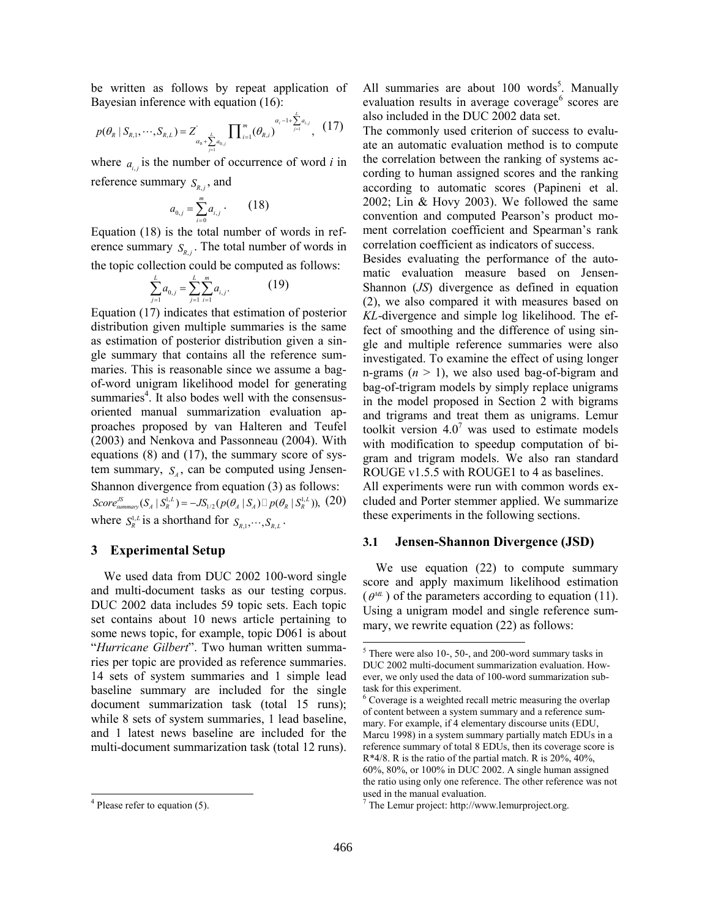be written as follows by repeat application of Bayesian inference with equation (16):

$$
p(\theta_R \mid S_{R,1}, \cdots, S_{R,L}) = Z'_{\alpha_0 + \sum_{j=1}^L a_{0,j}} \prod_{i=1}^m (\theta_{R,i})^{\alpha_i - 1 + \sum_{j=1}^L a_{i,j}}, (17)
$$

where  $a_{i,j}$  is the number of occurrence of word i in reference summary  $S_{R,i}$ , and

$$
a_{0,j} = \sum_{i=0}^{m} a_{i,j} \qquad (18)
$$

Equation (18) is the total number of words in reference summary  $S_{R,i}$ . The total number of words in the topic collection could be computed as follows:

$$
\sum_{j=1}^{L} a_{0,j} = \sum_{j=1}^{L} \sum_{i=1}^{m} a_{i,j}.
$$
 (19)

Equation (17) indicates that estimation of posterior distribution given multiple summaries is the same as estimation of posterior distribution given a single summary that contains all the reference summaries. This is reasonable since we assume a bagof-word unigram likelihood model for generating summaries<sup>4</sup>. It also bodes well with the consensusoriented manual summarization evaluation approaches proposed by van Halteren and Teufel (2003) and Nenkova and Passonneau (2004). With equations  $(8)$  and  $(17)$ , the summary score of system summary,  $S_{\mu}$ , can be computed using Jensen-Shannon divergence from equation (3) as follows: Score<sup>JS</sup><sub>summary</sub> $(S_A | S_R^{1,L}) = -JS_{1/2}(p(\theta_A | S_A) p(\theta_R | S_R^{1,L}))$ , (20) where  $S_R^{1,L}$  is a shorthand for  $S_{R,1}, \dots, S_{R,L}$ .

### 3 Experimental Setup

We used data from DUC 2002 100-word single and multi-document tasks as our testing corpus. DUC 2002 data includes 59 topic sets. Each topic set contains about 10 news article pertaining to some news topic, for example, topic D061 is about "Hurricane Gilbert". Two human written summaries per topic are provided as reference summaries. 14 sets of system summaries and 1 simple lead baseline summary are included for the single document summarization task (total 15 runs); while 8 sets of system summaries, 1 lead baseline, and 1 latest news baseline are included for the multi-document summarization task (total 12 runs). All summaries are about 100 words<sup>5</sup>. Manually evaluation results in average coverage<sup>6</sup> scores are also included in the DUC 2002 data set.

The commonly used criterion of success to evaluate an automatic evaluation method is to compute the correlation between the ranking of systems according to human assigned scores and the ranking according to automatic scores (Papineni et al. 2002; Lin & Hovy 2003). We followed the same convention and computed Pearson's product moment correlation coefficient and Spearman's rank correlation coefficient as indicators of success.

Besides evaluating the performance of the automatic evaluation measure based on Jensen-Shannon  $(JS)$  divergence as defined in equation (2), we also compared it with measures based on KL-divergence and simple log likelihood. The effect of smoothing and the difference of using single and multiple reference summaries were also investigated. To examine the effect of using longer n-grams  $(n > 1)$ , we also used bag-of-bigram and bag-of-trigram models by simply replace unigrams in the model proposed in Section 2 with bigrams and trigrams and treat them as unigrams. Lemur toolkit version  $4.0<sup>7</sup>$  was used to estimate models with modification to speedup computation of bigram and trigram models. We also ran standard ROUGE v1.5.5 with ROUGE1 to 4 as baselines. All experiments were run with common words ex-

cluded and Porter stemmer applied. We summarize these experiments in the following sections.

#### $3.1$ **Jensen-Shannon Divergence (JSD)**

We use equation  $(22)$  to compute summary score and apply maximum likelihood estimation  $(\theta^{ML})$  of the parameters according to equation (11). Using a unigram model and single reference summary, we rewrite equation (22) as follows:

 $4$  Please refer to equation (5).

 $5$  There were also 10-, 50-, and 200-word summary tasks in DUC 2002 multi-document summarization evaluation. However, we only used the data of 100-word summarization subtask for this experiment.

<sup>&</sup>lt;sup>6</sup> Coverage is a weighted recall metric measuring the overlap of content between a system summary and a reference summary. For example, if 4 elementary discourse units (EDU, Marcu 1998) in a system summary partially match EDUs in a reference summary of total 8 EDUs, then its coverage score is  $R*4/8$ . R is the ratio of the partial match. R is 20%, 40%, 60%, 80%, or 100% in DUC 2002. A single human assigned the ratio using only one reference. The other reference was not used in the manual evaluation.

 $\frac{7}{7}$  The Lemur project: http://www.lemurproject.org.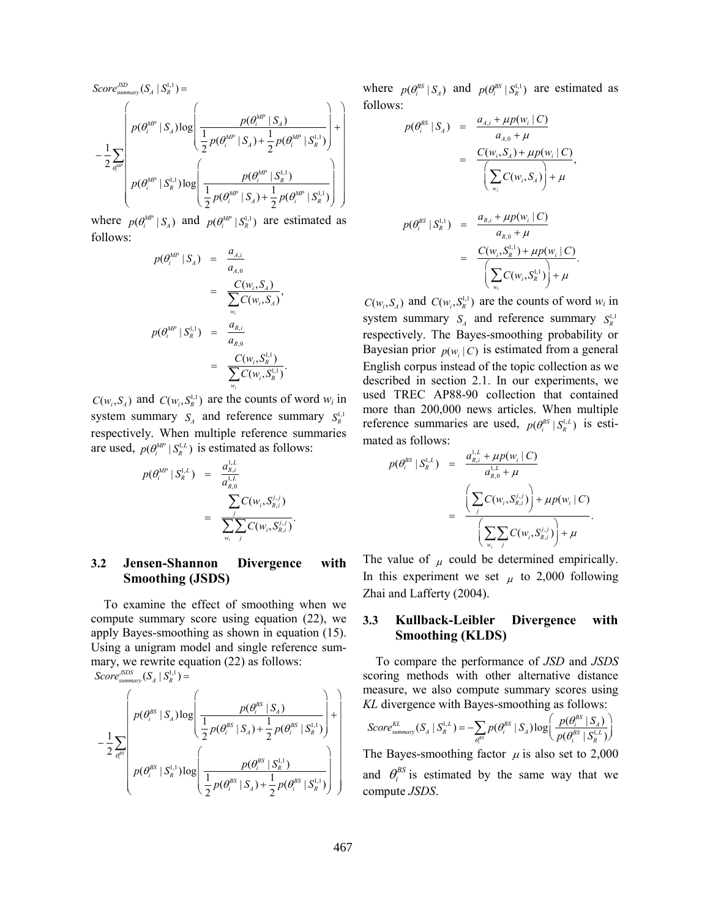$$
Score_{summary}^{JSD}(S_A | S_R^{1,1}) = \newline - \frac{1}{2} \sum_{\theta_i^{MP}} \left( \frac{p(\theta_i^{MP} | S_A)}{\frac{1}{2} p(\theta_i^{MP} | S_A) + \frac{1}{2} p(\theta_i^{MP} | S_R^{1,1})} \right) + \\ \cdot \left( \frac{p(\theta_i^{MP} | S_A^{1,1}) \log \left( \frac{p(\theta_i^{MP} | S_A^{1,1})}{\frac{1}{2} p(\theta_i^{MP} | S_R^{1,1})} \right)}{\frac{1}{2} p(\theta_i^{MP} | S_A^{1,1}) + \frac{1}{2} p(\theta_i^{MP} | S_R^{1,1})} \right) \right)
$$

where  $p(\theta_i^{MP} | S_i)$  and  $p(\theta_i^{MP} | S_i^{1,1})$  are estimated as follows:

$$
p(\theta_i^{MP} | S_A) = \frac{a_{A,i}}{a_{A,0}} \\
= \frac{C(w_i, S_A)}{\sum_{w_i} C(w_i, S_A)}, \\
p(\theta_i^{MP} | S_R^{1,1}) = \frac{a_{R,i}}{a_{R,0}} \\
= \frac{C(w_i, S_R^{1,1})}{\sum_{w_i} C(w_i, S_R^{1,1})}.
$$

 $C(w_i, S_A)$  and  $C(w_i, S_R^{1,1})$  are the counts of word  $w_i$  in system summary  $S_A$  and reference summary  $S_n^{1,1}$ respectively. When multiple reference summaries are used,  $p(\theta_i^{MP} | S_{R}^{1,L})$  is estimated as follows:

$$
p(\theta_i^{MP} | S_R^{i,L}) = \frac{a_{R,i}^{1,L}}{a_{R,0}^{1,L}} = \frac{\sum_j C(w_i, S_{R,i}^{j,j})}{\sum_{w_i} \sum_j C(w_i, S_{R,i}^{j,j})}.
$$

#### $3.2$ Jensen-Shannon **Divergence** with **Smoothing (JSDS)**

To examine the effect of smoothing when we compute summary score using equation (22), we apply Bayes-smoothing as shown in equation (15). Using a unigram model and single reference summary, we rewrite equation (22) as follows:

 $Score_{summary}^{JSDS}(S_A | S_R^{1,1}) =$ 

$$
-\frac{1}{2} \sum_{\theta_i^{BS}} \left( p(\theta_i^{BS} \mid S_A) \log \left( \frac{p(\theta_i^{BS} \mid S_A)}{\frac{1}{2} p(\theta_i^{BS} \mid S_A) + \frac{1}{2} p(\theta_i^{BS} \mid S_R^{1,1})} \right) + \right) \right)
$$

$$
p(\theta_i^{BS} \mid S_R^{1,1}) \log \left( \frac{p(\theta_i^{BS} \mid S_R^{1,1})}{\frac{1}{2} p(\theta_i^{BS} \mid S_A) + \frac{1}{2} p(\theta_i^{BS} \mid S_R^{1,1})} \right)
$$

where  $p(\theta_i^{BS} | S_A)$  and  $p(\theta_i^{BS} | S_R^{1,1})$  are estimated as follows:

$$
p(\theta_i^{BS} | S_A) = \frac{a_{A,i} + \mu p(w_i | C)}{a_{A,0} + \mu}
$$
  
= 
$$
\frac{C(w_i, S_A) + \mu p(w_i | C)}{\left(\sum_{w_i} C(w_i, S_A)\right) + \mu}
$$
  

$$
p(\theta_i^{BS} | S_R^{1,1}) = \frac{a_{R,i} + \mu p(w_i | C)}{a_{R,0} + \mu}
$$
  
= 
$$
\frac{C(w_i, S_R^{1,1}) + \mu p(w_i | C)}{\left(\sum_{w_i} C(w_i, S_R^{1,1})\right) + \mu}
$$

 $C(w_i, S_A)$  and  $C(w_i, S_R^{1,1})$  are the counts of word  $w_i$  in system summary  $S_A$  and reference summary  $S_B^{1,1}$ respectively. The Bayes-smoothing probability or Bayesian prior  $p(w_i | C)$  is estimated from a general English corpus instead of the topic collection as we described in section 2.1. In our experiments, we used TREC AP88-90 collection that contained more than 200,000 news articles. When multiple reference summaries are used,  $p(\theta^{ps} | S_n^{l,L})$  is estimated as follows:

$$
p(\theta_i^{BS} | S_R^{i,L}) = \frac{a_{R,i}^{i,L} + \mu p(w_i | C)}{a_{R,0}^{i,L} + \mu}
$$
  
= 
$$
\frac{\left(\sum_j C(w_i, S_{R,i}^{j,j})\right) + \mu p(w_i | C)}{\left(\sum_{w_i} \sum_j C(w_i, S_{R,i}^{j,j})\right) + \mu}
$$

The value of  $\mu$  could be determined empirically. In this experiment we set  $\mu$  to 2,000 following Zhai and Lafferty (2004).

#### $3.3$ Kullback-Leibler **Divergence** with **Smoothing (KLDS)**

To compare the performance of JSD and JSDS scoring methods with other alternative distance measure, we also compute summary scores using KL divergence with Bayes-smoothing as follows:

$$
Score^{KL}_{summary}(S_A \mid S_R^{1,L}) = -\sum_{\theta_i^{BS}} p(\theta_i^{BS} \mid S_A) \log \left( \frac{p(\theta_i^{BS} \mid S_A)}{p(\theta_i^{BS} \mid S_R^{1,L})} \right)
$$

The Bayes-smoothing factor  $\mu$  is also set to 2,000 and  $\theta_i^{BS}$  is estimated by the same way that we compute JSDS.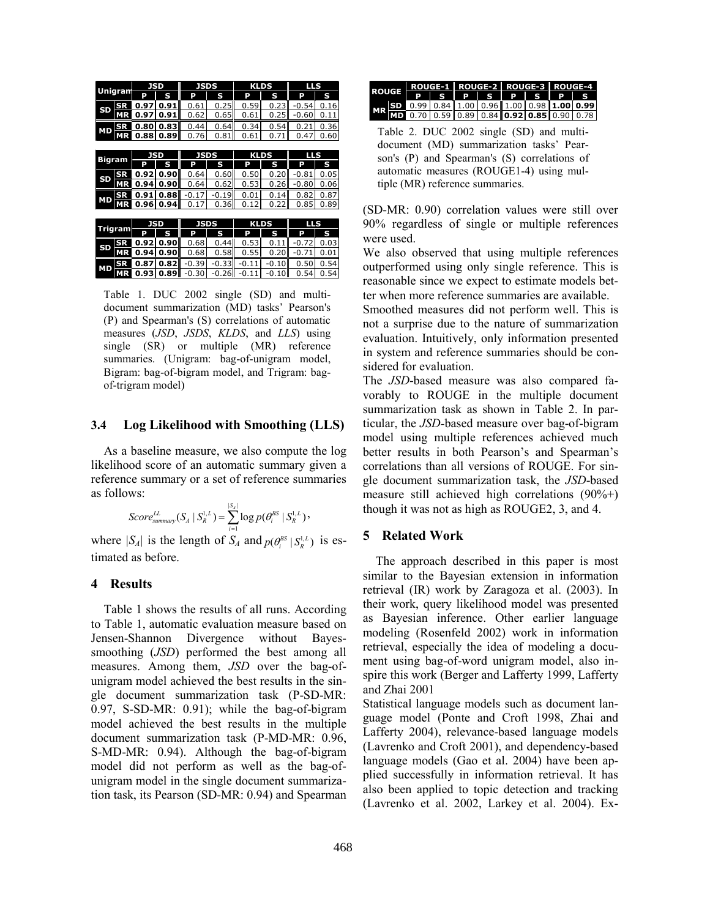| <b>Unigram</b> |           | JSD        |      | <b>JSDS</b> |         | <b>KLDS</b> |         | LLS     |           |
|----------------|-----------|------------|------|-------------|---------|-------------|---------|---------|-----------|
|                |           | P          | S    | P           | S       | P           | S       | P       | S         |
| SD             | SR        | 0.97       | 0.91 | 0.61        | 0.25    | 0.59        | 0.23    | $-0.54$ | 0.16      |
|                | МR        | 0.97       | 0.91 | 0.62        | 0.65    | 0.61        | 0.25    | $-0.60$ | $_{0.11}$ |
| МD             | <b>SR</b> | 0.80       | 0.83 | 0.44        | 0.64    | 0.34        | 0.54    | 0.21    | 0.36      |
|                |           | 0.88       | 0.89 | 0.76        | 0.81    | 0.61        | 0.71    | 0.47    | 0.60      |
|                |           |            |      |             |         |             |         |         |           |
| <b>Bigram</b>  |           | JSD        |      | <b>JSDS</b> |         | <b>KLDS</b> |         | LLS     |           |
|                |           | р          | S    | P           | S       | P           | S       | P       | S         |
| SD             | SR        | 0.92       | 0.90 | 0.64        | 0.60    | 0.50        | 0.20    | $-0.81$ | 0.05      |
|                | <b>MR</b> | 0.94       | 0.90 | 0.64        | 0.62    | 0.53        | 0.26    | $-0.80$ | 0.06      |
| MD             | <b>SR</b> | 0.91       | 0.88 | $-0.1$<br>7 | $-0.19$ | 0.01        | 0.14    | 0.82    | 0.87      |
|                |           | 0.96       | 0.94 | 0.17        | 0.36    | 0.12        | 0.22    | 0.85    | 0.89      |
|                |           |            |      |             |         |             |         |         |           |
| Trigram        |           | <b>JSD</b> |      | <b>JSDS</b> |         | <b>KLDS</b> |         | LLS     |           |
|                |           | P          | S    | P           | S       | P           | S       | P       | S         |
| SD             | SR        | 0.92       | 0.90 | 0.68        | 0.44    | 0.53        | 0.11    | $-0.72$ | 0.03      |
|                | <b>MR</b> | 0.94       | 0.90 | 0.68        | 0.58    | 0.55        | 0.20    | $-0.71$ | 0.01      |
| <b>MD</b>      | SR        | 0.87       | 0.82 | $-0.39$     | $-0.33$ | $-0.11$     | $-0.10$ | 0.50    | 0.54      |
|                | МR        | 0.93       | 0.89 | -0.30       | $-0.26$ | 11<br>-0    | -0.10   | 0.54    | 0.54      |

Table 1. DUC 2002 single (SD) and multidocument summarization (MD) tasks' Pearson's (P) and Spearman's (S) correlations of automatic measures (*JSD*, *JSDS*, *KLDS*, and *LLS*) using single (SR) or multiple (MR) reference summaries. (Unigram: bag-of-unigram model, Bigram: bag-of-bigram model, and Trigram: bagof-trigram model)

#### $3.4$ Log Likelihood with Smoothing (LLS)

As a baseline measure, we also compute the log likelihood score of an automatic summary given a reference summary or a set of reference summaries as follows:

$$
Score_{\text{summary}}^{LL}(S_A | S_R^{1,L}) = \sum_{i=1}^{|S_A|} log p(\theta_i^{BS} | S_R^{1,L})
$$

where  $|S_A|$  is the length of  $S_A$  and  $p(\theta_i^{BS} | S_R^{1,L})$  is estimated as before.

#### $\overline{\mathbf{4}}$ **Results**

Table 1 shows the results of all runs. According to Table 1, automatic evaluation measure based on Jensen-Shannon Divergence without Bayessmoothing (*JSD*) performed the best among all measures. Among them, JSD over the bag-ofunigram model achieved the best results in the single document summarization task (P-SD-MR:  $0.97$ , S-SD-MR:  $0.91$ ; while the bag-of-bigram model achieved the best results in the multiple document summarization task (P-MD-MR: 0.96, S-MD-MR: 0.94). Although the bag-of-bigram model did not perform as well as the bag-ofunigram model in the single document summarization task, its Pearson (SD-MR: 0.94) and Spearman





(SD-MR: 0.90) correlation values were still over 90% regardless of single or multiple references were used.

We also observed that using multiple references outperformed using only single reference. This is reasonable since we expect to estimate models better when more reference summaries are available.

Smoothed measures did not perform well. This is not a surprise due to the nature of summarization evaluation. Intuitively, only information presented in system and reference summaries should be considered for evaluation.

The JSD-based measure was also compared favorably to ROUGE in the multiple document summarization task as shown in Table 2. In particular, the JSD-based measure over bag-of-bigram model using multiple references achieved much better results in both Pearson's and Spearman's correlations than all versions of ROUGE. For single document summarization task, the JSD-based measure still achieved high correlations  $(90\%+)$ though it was not as high as ROUGE2, 3, and 4.

#### $5<sup>5</sup>$ **Related Work**

The approach described in this paper is most similar to the Bayesian extension in information retrieval (IR) work by Zaragoza et al. (2003). In their work, query likelihood model was presented as Bayesian inference. Other earlier language modeling (Rosenfeld 2002) work in information retrieval, especially the idea of modeling a document using bag-of-word unigram model, also inspire this work (Berger and Lafferty 1999, Lafferty and Zhai 2001

Statistical language models such as document language model (Ponte and Croft 1998, Zhai and Lafferty 2004), relevance-based language models (Lavrenko and Croft 2001), and dependency-based language models (Gao et al. 2004) have been applied successfully in information retrieval. It has also been applied to topic detection and tracking (Lavrenko et al. 2002, Larkey et al. 2004). Ex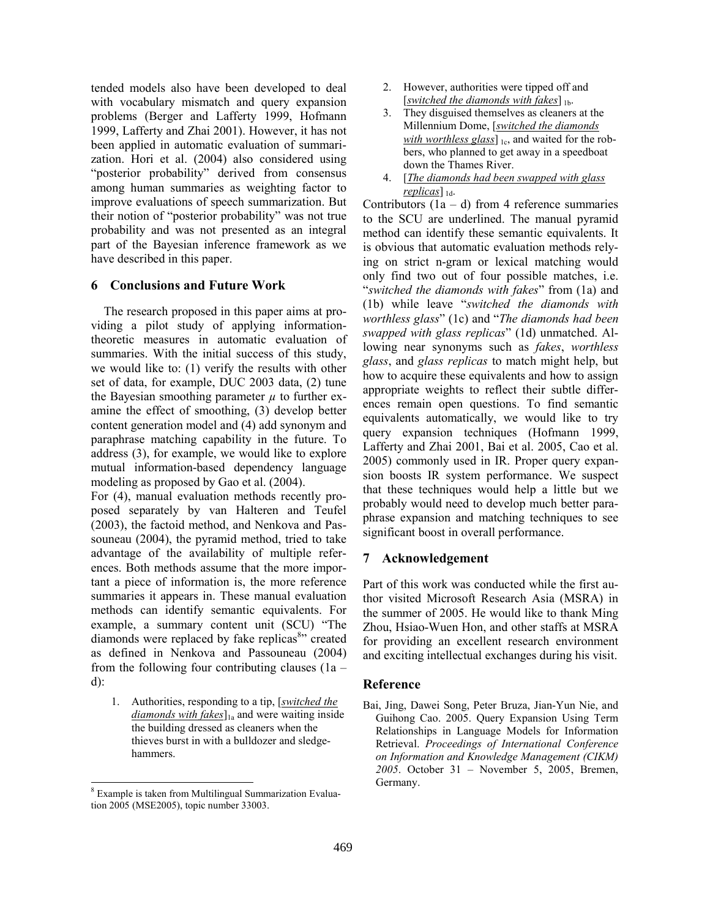tended models also have been developed to deal with vocabulary mismatch and query expansion problems (Berger and Lafferty 1999, Hofmann 1999, Lafferty and Zhai 2001). However, it has not been applied in automatic evaluation of summarization. Hori et al. (2004) also considered using "posterior probability" derived from consensus among human summaries as weighting factor to improve evaluations of speech summarization. But their notion of "posterior probability" was not true probability and was not presented as an integral part of the Bayesian inference framework as we have described in this paper.

## **6** Conclusions and Future Work

The research proposed in this paper aims at providing a pilot study of applying informationtheoretic measures in automatic evaluation of summaries. With the initial success of this study, we would like to:  $(1)$  verify the results with other set of data, for example, DUC 2003 data, (2) tune the Bayesian smoothing parameter  $\mu$  to further examine the effect of smoothing, (3) develop better content generation model and (4) add synonym and paraphrase matching capability in the future. To address (3), for example, we would like to explore mutual information-based dependency language modeling as proposed by Gao et al. (2004).

For (4), manual evaluation methods recently proposed separately by van Halteren and Teufel (2003), the factoid method, and Nenkova and Passouneau (2004), the pyramid method, tried to take advantage of the availability of multiple references. Both methods assume that the more important a piece of information is, the more reference summaries it appears in. These manual evaluation methods can identify semantic equivalents. For example, a summary content unit (SCU) "The diamonds were replaced by fake replicas<sup>8</sup> created as defined in Nenkova and Passouneau (2004) from the following four contributing clauses  $(1a$  $d)$ :

1. Authorities, responding to a tip, [switched the *diamonds with fakes* $\vert$ <sub>la</sub> and were waiting inside the building dressed as cleaners when the thieves burst in with a bulldozer and sledgehammers.

- However, authorities were tipped off and  $2<sub>1</sub>$ [switched the diamonds with fakes]  $_{1b}$ .
- $3<sub>1</sub>$ They disguised themselves as cleaners at the Millennium Dome, [switched the diamonds] with worthless glass]  $_{1c}$ , and waited for the robbers, who planned to get away in a speedboat down the Thames River.
- 4. [The diamonds had been swapped with glass] replicas  $\vert_{1d}$ .

Contributors  $(1a - d)$  from 4 reference summaries to the SCU are underlined. The manual pyramid method can identify these semantic equivalents. It is obvious that automatic evaluation methods relying on strict n-gram or lexical matching would only find two out of four possible matches, *i.e.* "switched the diamonds with fakes" from (1a) and (1b) while leave "switched the diamonds with worthless glass" (1c) and "The diamonds had been swapped with glass replicas" (1d) unmatched. Allowing near synonyms such as *fakes*, *worthless* glass, and glass replicas to match might help, but how to acquire these equivalents and how to assign appropriate weights to reflect their subtle differences remain open questions. To find semantic equivalents automatically, we would like to try query expansion techniques (Hofmann 1999, Lafferty and Zhai 2001, Bai et al. 2005, Cao et al. 2005) commonly used in IR. Proper query expansion boosts IR system performance. We suspect that these techniques would help a little but we probably would need to develop much better paraphrase expansion and matching techniques to see significant boost in overall performance.

## 7 Acknowledgement

Part of this work was conducted while the first author visited Microsoft Research Asia (MSRA) in the summer of 2005. He would like to thank Ming Zhou, Hsiao-Wuen Hon, and other staffs at MSRA for providing an excellent research environment and exciting intellectual exchanges during his visit.

## Reference

Bai, Jing, Dawei Song, Peter Bruza, Jian-Yun Nie, and Guihong Cao. 2005. Query Expansion Using Term Relationships in Language Models for Information Retrieval. Proceedings of International Conference on Information and Knowledge Management (CIKM) 2005. October 31 - November 5, 2005, Bremen, Germany.

<sup>&</sup>lt;sup>8</sup> Example is taken from Multilingual Summarization Evaluation 2005 (MSE2005), topic number 33003.